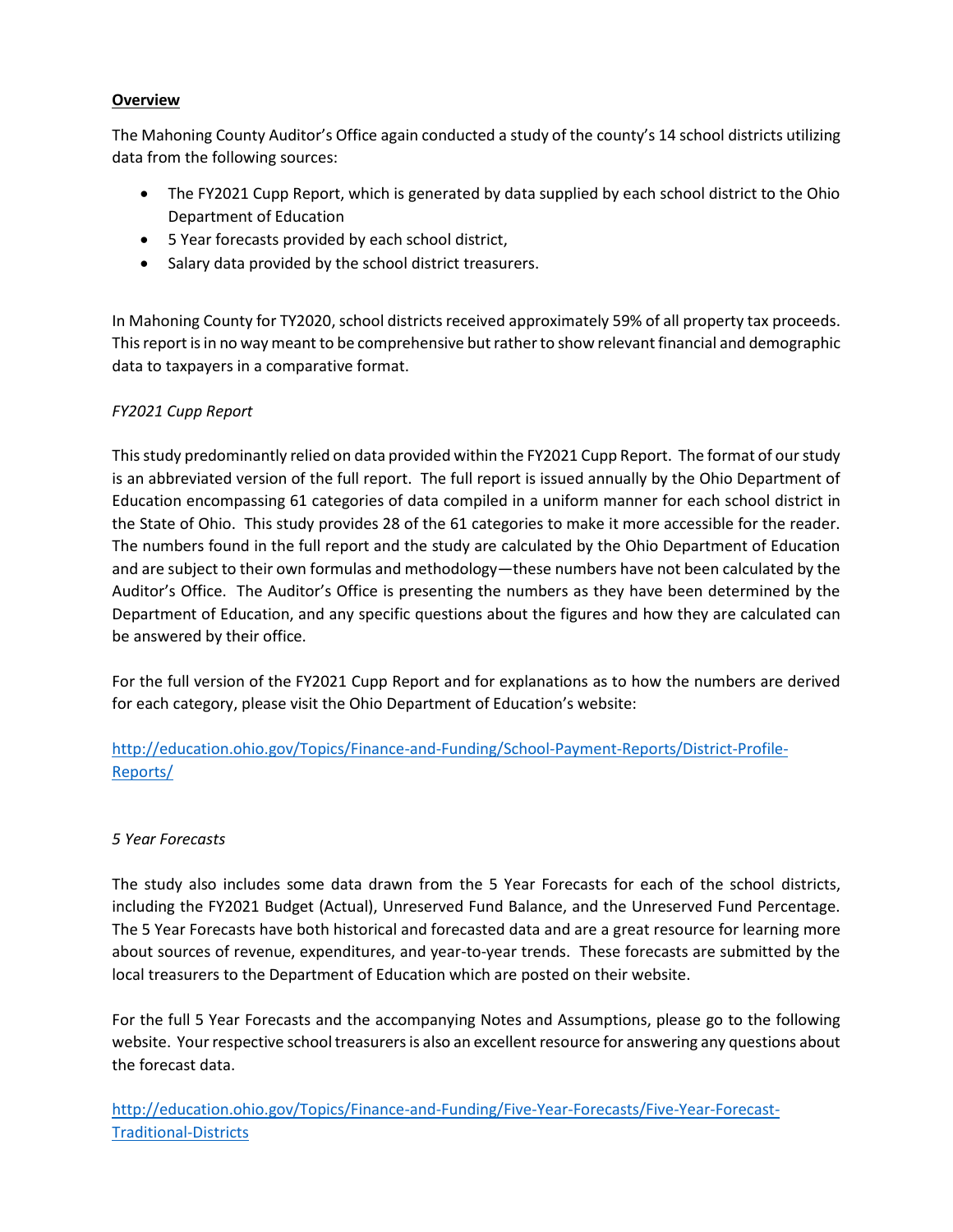# **Overview**

The Mahoning County Auditor's Office again conducted a study of the county's 14 school districts utilizing data from the following sources:

- The FY2021 Cupp Report, which is generated by data supplied by each school district to the Ohio Department of Education
- 5 Year forecasts provided by each school district,
- Salary data provided by the school district treasurers.

In Mahoning County for TY2020, school districts received approximately 59% of all property tax proceeds. This report is in no way meant to be comprehensive but rather to show relevant financial and demographic data to taxpayers in a comparative format.

### *FY2021 Cupp Report*

This study predominantly relied on data provided within the FY2021 Cupp Report. The format of our study is an abbreviated version of the full report. The full report is issued annually by the Ohio Department of Education encompassing 61 categories of data compiled in a uniform manner for each school district in the State of Ohio. This study provides 28 of the 61 categories to make it more accessible for the reader. The numbers found in the full report and the study are calculated by the Ohio Department of Education and are subject to their own formulas and methodology—these numbers have not been calculated by the Auditor's Office. The Auditor's Office is presenting the numbers as they have been determined by the Department of Education, and any specific questions about the figures and how they are calculated can be answered by their office.

For the full version of the FY2021 Cupp Report and for explanations as to how the numbers are derived for each category, please visit the Ohio Department of Education's website:

[http://education.ohio.gov/Topics/Finance-and-Funding/School-Payment-Reports/District-Profile-](http://education.ohio.gov/Topics/Finance-and-Funding/School-Payment-Reports/District-Profile-Reports/)[Reports/](http://education.ohio.gov/Topics/Finance-and-Funding/School-Payment-Reports/District-Profile-Reports/)

#### *5 Year Forecasts*

The study also includes some data drawn from the 5 Year Forecasts for each of the school districts, including the FY2021 Budget (Actual), Unreserved Fund Balance, and the Unreserved Fund Percentage. The 5 Year Forecasts have both historical and forecasted data and are a great resource for learning more about sources of revenue, expenditures, and year-to-year trends. These forecasts are submitted by the local treasurers to the Department of Education which are posted on their website.

For the full 5 Year Forecasts and the accompanying Notes and Assumptions, please go to the following website. Your respective school treasurers is also an excellent resource for answering any questions about the forecast data.

[http://education.ohio.gov/Topics/Finance-and-Funding/Five-Year-Forecasts/Five-Year-Forecast-](http://education.ohio.gov/Topics/Finance-and-Funding/Five-Year-Forecasts/Five-Year-Forecast-Traditional-Districts)[Traditional-Districts](http://education.ohio.gov/Topics/Finance-and-Funding/Five-Year-Forecasts/Five-Year-Forecast-Traditional-Districts)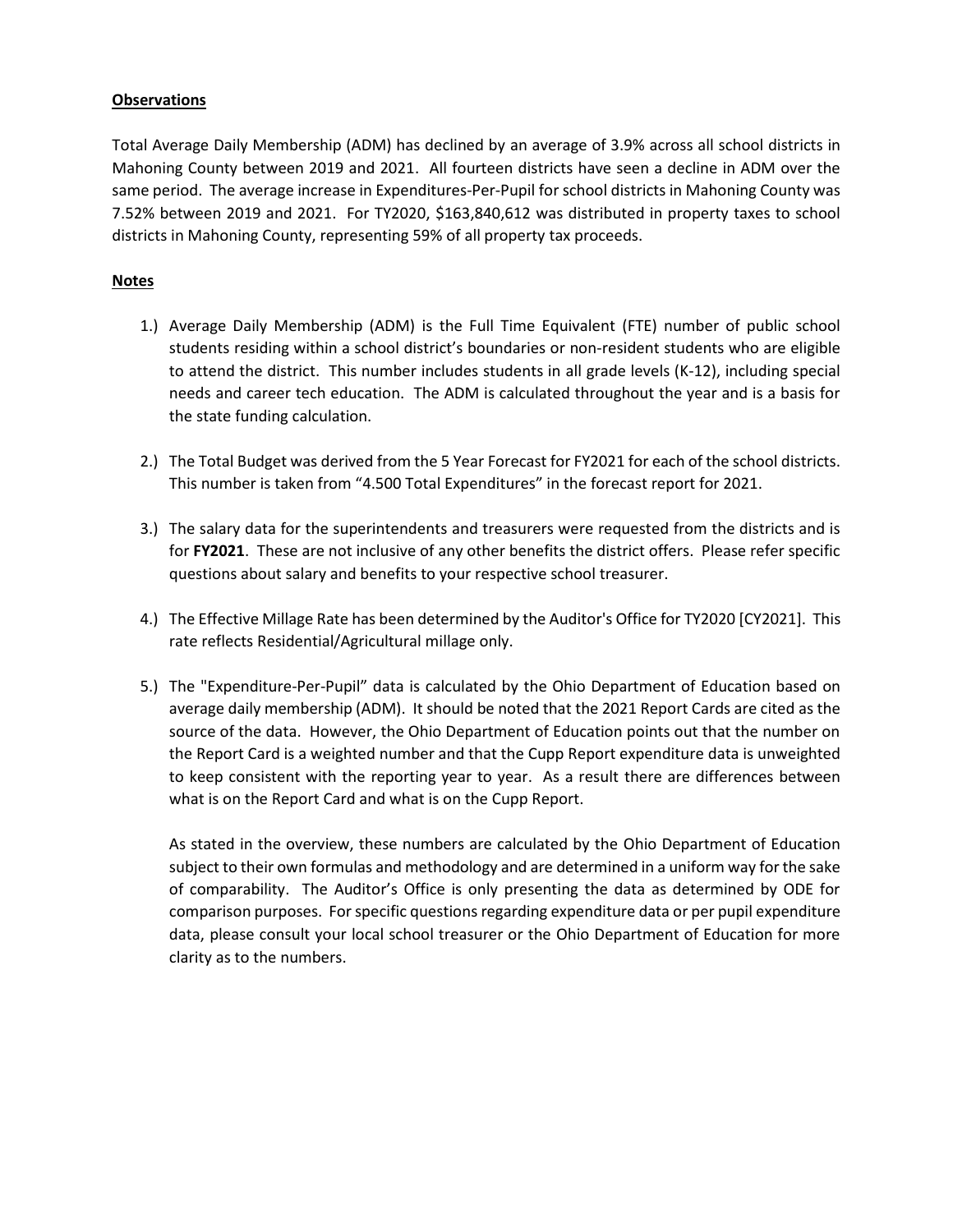#### **Observations**

Total Average Daily Membership (ADM) has declined by an average of 3.9% across all school districts in Mahoning County between 2019 and 2021. All fourteen districts have seen a decline in ADM over the same period. The average increase in Expenditures-Per-Pupil for school districts in Mahoning County was 7.52% between 2019 and 2021. For TY2020, \$163,840,612 was distributed in property taxes to school districts in Mahoning County, representing 59% of all property tax proceeds.

## **Notes**

- 1.) Average Daily Membership (ADM) is the Full Time Equivalent (FTE) number of public school students residing within a school district's boundaries or non-resident students who are eligible to attend the district. This number includes students in all grade levels (K-12), including special needs and career tech education. The ADM is calculated throughout the year and is a basis for the state funding calculation.
- 2.) The Total Budget was derived from the 5 Year Forecast for FY2021 for each of the school districts. This number is taken from "4.500 Total Expenditures" in the forecast report for 2021.
- 3.) The salary data for the superintendents and treasurers were requested from the districts and is for **FY2021**. These are not inclusive of any other benefits the district offers. Please refer specific questions about salary and benefits to your respective school treasurer.
- 4.) The Effective Millage Rate has been determined by the Auditor's Office for TY2020 [CY2021]. This rate reflects Residential/Agricultural millage only.
- 5.) The "Expenditure-Per-Pupil" data is calculated by the Ohio Department of Education based on average daily membership (ADM). It should be noted that the 2021 Report Cards are cited as the source of the data. However, the Ohio Department of Education points out that the number on the Report Card is a weighted number and that the Cupp Report expenditure data is unweighted to keep consistent with the reporting year to year. As a result there are differences between what is on the Report Card and what is on the Cupp Report.

As stated in the overview, these numbers are calculated by the Ohio Department of Education subject to their own formulas and methodology and are determined in a uniform way for the sake of comparability. The Auditor's Office is only presenting the data as determined by ODE for comparison purposes. For specific questions regarding expenditure data or per pupil expenditure data, please consult your local school treasurer or the Ohio Department of Education for more clarity as to the numbers.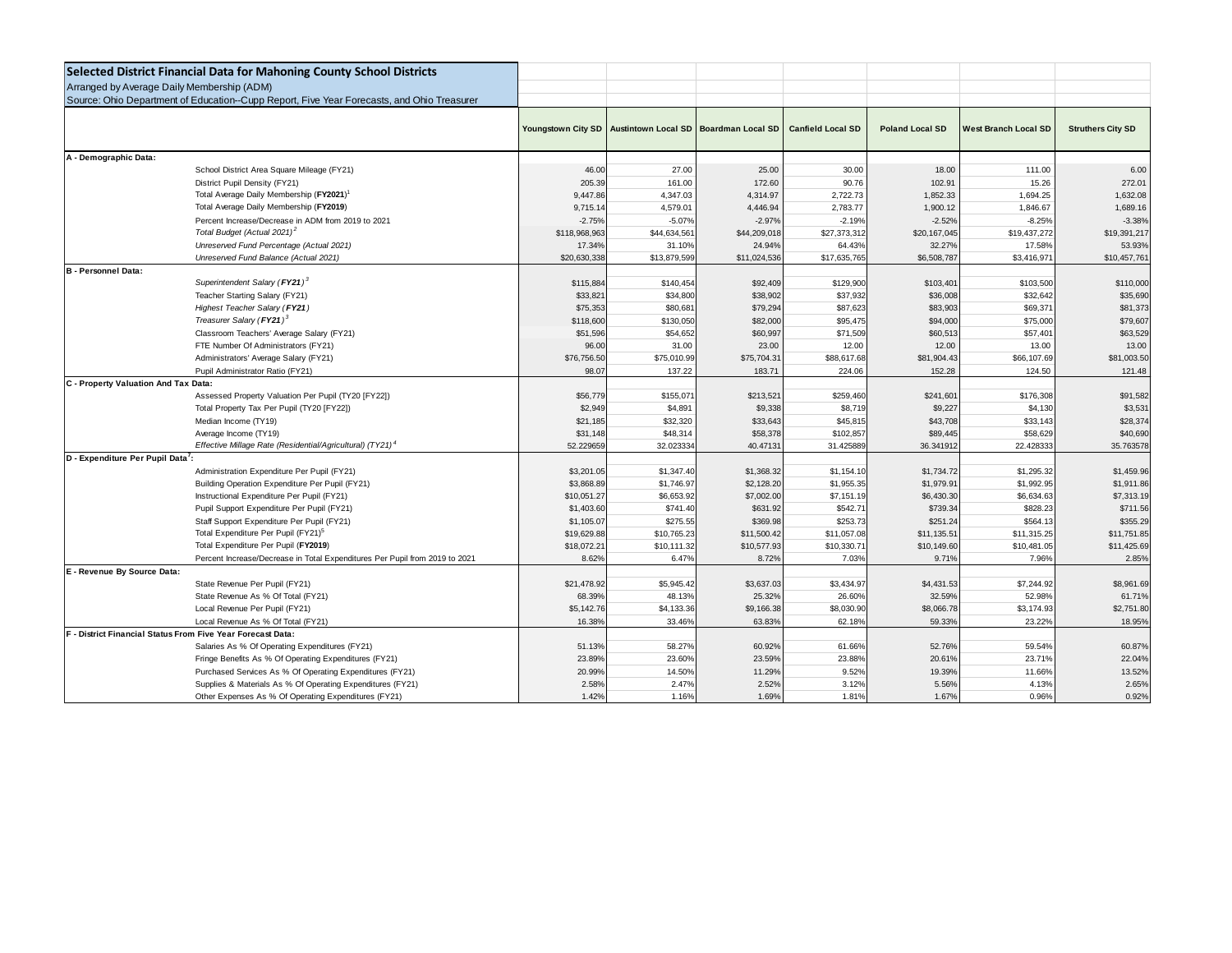| Selected District Financial Data for Mahoning County School Districts                      |                    |                                       |              |                          |                        |                             |                          |
|--------------------------------------------------------------------------------------------|--------------------|---------------------------------------|--------------|--------------------------|------------------------|-----------------------------|--------------------------|
| Arranged by Average Daily Membership (ADM)                                                 |                    |                                       |              |                          |                        |                             |                          |
| Source: Ohio Department of Education--Cupp Report, Five Year Forecasts, and Ohio Treasurer |                    |                                       |              |                          |                        |                             |                          |
|                                                                                            |                    |                                       |              |                          |                        |                             |                          |
|                                                                                            | Youngstown City SD | Austintown Local SD Boardman Local SD |              | <b>Canfield Local SD</b> | <b>Poland Local SD</b> | <b>West Branch Local SD</b> | <b>Struthers City SD</b> |
|                                                                                            |                    |                                       |              |                          |                        |                             |                          |
| A - Demographic Data:                                                                      |                    |                                       |              |                          |                        |                             |                          |
| School District Area Square Mileage (FY21)                                                 | 46.00              | 27.00                                 | 25.00        | 30.00                    | 18.00                  | 111.00                      | 6.00                     |
| District Pupil Density (FY21)                                                              | 205.3              | 161.00                                | 172.60       | 90.76                    | 102.91                 | 15.26                       | 272.01                   |
| Total Average Daily Membership (FY2021) <sup>1</sup>                                       | 9,447.86           | 4,347.03                              | 4,314.97     | 2,722.73                 | 1,852.33               | 1,694.25                    | 1,632.08                 |
| Total Average Daily Membership (FY2019)                                                    | 9,715.1            | 4,579.01                              | 4,446.94     | 2,783.77                 | 1,900.12               | 1,846.67                    | 1,689.16                 |
| Percent Increase/Decrease in ADM from 2019 to 2021                                         | $-2.75%$           | $-5.07%$                              | $-2.97%$     | $-2.19%$                 | $-2.52%$               | $-8.25%$                    | $-3.38%$                 |
| Total Budget (Actual 2021) <sup>2</sup>                                                    | \$118,968,963      | \$44,634,561                          | \$44,209,018 | \$27,373,312             | \$20,167,045           | \$19,437,272                | \$19,391,217             |
| Unreserved Fund Percentage (Actual 2021)                                                   | 17.349             | 31.10%                                | 24.94%       | 64.43%                   | 32.27%                 | 17.58%                      | 53.93%                   |
| Unreserved Fund Balance (Actual 2021)                                                      | \$20,630,33        | \$13,879,599                          | \$11,024,536 | \$17,635,765             | \$6,508,787            | \$3,416,971                 | \$10,457,76              |
| <b>B</b> - Personnel Data:                                                                 |                    |                                       |              |                          |                        |                             |                          |
| Superintendent Salary (FY21) <sup>3</sup>                                                  | \$115,884          | \$140,454                             | \$92,409     | \$129,900                | \$103,401              | \$103,500                   | \$110,000                |
| Teacher Starting Salary (FY21)                                                             | \$33,821           | \$34,800                              | \$38,902     | \$37,932                 | \$36,008               | \$32,642                    | \$35,690                 |
| Highest Teacher Salary (FY21)                                                              | \$75,35            | \$80,68                               | \$79,294     | \$87,623                 | \$83,903               | \$69,371                    | \$81,373                 |
| Treasurer Salary (FY21) <sup>3</sup>                                                       | \$118,600          | \$130,050                             | \$82,000     | \$95,475                 | \$94,000               | \$75,000                    | \$79,607                 |
| Classroom Teachers' Average Salary (FY21)                                                  | \$51,596           | \$54,652                              | \$60,997     | \$71,509                 | \$60,513               | \$57,401                    | \$63,529                 |
| FTE Number Of Administrators (FY21)                                                        | 96.0               | 31.00                                 | 23.00        | 12.00                    | 12.00                  | 13.00                       | 13.00                    |
| Administrators' Average Salary (FY21)                                                      | \$76,756.50        | \$75,010.99                           | \$75,704.31  | \$88,617.68              | \$81,904.43            | \$66,107.69                 | \$81,003.50              |
| Pupil Administrator Ratio (FY21)                                                           | 98.0               | 137.22                                | 183.71       | 224.06                   | 152.28                 | 124.50                      | 121.48                   |
| C - Property Valuation And Tax Data:                                                       |                    |                                       |              |                          |                        |                             |                          |
| Assessed Property Valuation Per Pupil (TY20 [FY22])                                        | \$56,779           | \$155.07                              | \$213,521    | \$259,460                | \$241,601              | \$176,308                   | \$91,582                 |
| Total Property Tax Per Pupil (TY20 [FY22])                                                 | \$2,949            | \$4,891                               | \$9,338      | \$8,719                  | \$9,227                | \$4,130                     | \$3,531                  |
| Median Income (TY19)                                                                       | \$21,185           | \$32,320                              | \$33,643     | \$45,815                 | \$43,708               | \$33,143                    | \$28,374                 |
| Average Income (TY19)                                                                      | \$31,148           | \$48,314                              | \$58,378     | \$102,857                | \$89,445               | \$58,629                    | \$40,690                 |
| Effective Millage Rate (Residential/Agricultural) (TY21) <sup>4</sup>                      | 52.22965           | 32.023334                             | 40.4713      | 31.425889                | 36.341912              | 22.428333                   | 35.763578                |
| D - Expenditure Per Pupil Data <sup>7</sup> :                                              |                    |                                       |              |                          |                        |                             |                          |
| Administration Expenditure Per Pupil (FY21)                                                | \$3,201.05         | \$1,347.40                            | \$1,368.32   | \$1,154.10               | \$1,734.72             | \$1,295.32                  | \$1,459.96               |
| Building Operation Expenditure Per Pupil (FY21)                                            | \$3,868.89         | \$1,746.97                            | \$2,128.20   | \$1,955.35               | \$1,979.91             | \$1,992.95                  | \$1,911.86               |
| Instructional Expenditure Per Pupil (FY21)                                                 | \$10,051.27        | \$6,653.92                            | \$7,002.00   | \$7,151.19               | \$6,430.30             | \$6,634,63                  | \$7,313.19               |
| Pupil Support Expenditure Per Pupil (FY21)                                                 | \$1,403.60         | \$741.40                              | \$631.92     | \$542.71                 | \$739.34               | \$828.23                    | \$711.56                 |
| Staff Support Expenditure Per Pupil (FY21)                                                 | \$1,105.0          | \$275.55                              | \$369.98     | \$253.73                 | \$251.24               | \$564.13                    | \$355.29                 |
| Total Expenditure Per Pupil (FY21) <sup>5</sup>                                            | \$19,629.88        | \$10,765.23                           | \$11,500.42  | \$11,057.08              | \$11,135.51            | \$11,315.25                 | \$11,751.85              |
| Total Expenditure Per Pupil (FY2019)                                                       | \$18,072.2         | \$10,111.32                           | \$10,577.93  | \$10,330.71              | \$10,149.60            | \$10,481.05                 | \$11,425.69              |
| Percent Increase/Decrease in Total Expenditures Per Pupil from 2019 to 2021                | 8.62%              | 6.47%                                 | 8.72%        | 7.03%                    | 9.71%                  | 7.96%                       | 2.85%                    |
| E - Revenue By Source Data:                                                                |                    |                                       |              |                          |                        |                             |                          |
| State Revenue Per Pupil (FY21)                                                             | \$21,478.92        | \$5,945.42                            | \$3,637.03   | \$3,434.97               | \$4,431.53             | \$7,244.92                  | \$8,961.69               |
| State Revenue As % Of Total (FY21)                                                         | 68.39%             | 48.13%                                | 25.32%       | 26.60%                   | 32.59%                 | 52.98%                      | 61.71%                   |
| Local Revenue Per Pupil (FY21)                                                             | \$5,142.76         | \$4,133.36                            | \$9,166.38   | \$8,030.90               | \$8,066.78             | \$3,174.93                  | \$2,751.80               |
| Local Revenue As % Of Total (FY21)                                                         | 16.38%             | 33.46%                                | 63.839       | 62.18%                   | 59.33%                 | 23.22%                      | 18.95%                   |
| F - District Financial Status From Five Year Forecast Data:                                |                    |                                       |              |                          |                        |                             |                          |
| Salaries As % Of Operating Expenditures (FY21)                                             | 51.13%             | 58.27%                                | 60.92%       | 61.66%                   | 52.76%                 | 59.54%                      | 60.87%                   |
| Fringe Benefits As % Of Operating Expenditures (FY21)                                      | 23.89%             | 23.60%                                | 23.59%       | 23.88%                   | 20.61%                 | 23.71%                      | 22.04%                   |
| Purchased Services As % Of Operating Expenditures (FY21)                                   | 20.99%             | 14.50%                                | 11.29%       | 9.52%                    | 19.39%                 | 11.66%                      | 13.52%                   |
| Supplies & Materials As % Of Operating Expenditures (FY21)                                 | 2.58%              | 2.47%                                 | 2.52%        | 3.12%                    | 5.56%                  | 4.13%                       | 2.65%                    |
| Other Expenses As % Of Operating Expenditures (FY21)                                       | 1.42%              | 1.16%                                 | 1.69%        | 1.81%                    | 1.67%                  | 0.96%                       | 0.92%                    |